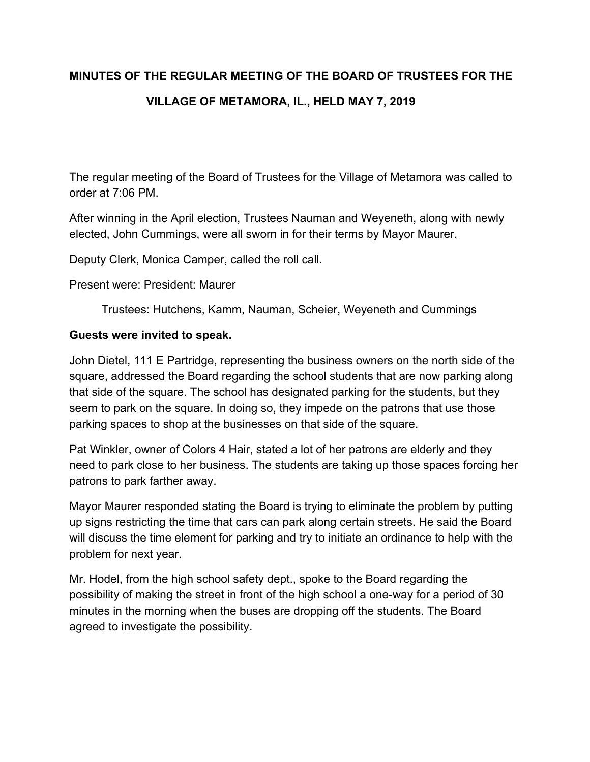# **MINUTES OF THE REGULAR MEETING OF THE BOARD OF TRUSTEES FOR THE VILLAGE OF METAMORA, IL., HELD MAY 7, 2019**

The regular meeting of the Board of Trustees for the Village of Metamora was called to order at 7:06 PM.

After winning in the April election, Trustees Nauman and Weyeneth, along with newly elected, John Cummings, were all sworn in for their terms by Mayor Maurer.

Deputy Clerk, Monica Camper, called the roll call.

Present were: President: Maurer

Trustees: Hutchens, Kamm, Nauman, Scheier, Weyeneth and Cummings

## **Guests were invited to speak.**

John Dietel, 111 E Partridge, representing the business owners on the north side of the square, addressed the Board regarding the school students that are now parking along that side of the square. The school has designated parking for the students, but they seem to park on the square. In doing so, they impede on the patrons that use those parking spaces to shop at the businesses on that side of the square.

Pat Winkler, owner of Colors 4 Hair, stated a lot of her patrons are elderly and they need to park close to her business. The students are taking up those spaces forcing her patrons to park farther away.

Mayor Maurer responded stating the Board is trying to eliminate the problem by putting up signs restricting the time that cars can park along certain streets. He said the Board will discuss the time element for parking and try to initiate an ordinance to help with the problem for next year.

Mr. Hodel, from the high school safety dept., spoke to the Board regarding the possibility of making the street in front of the high school a one-way for a period of 30 minutes in the morning when the buses are dropping off the students. The Board agreed to investigate the possibility.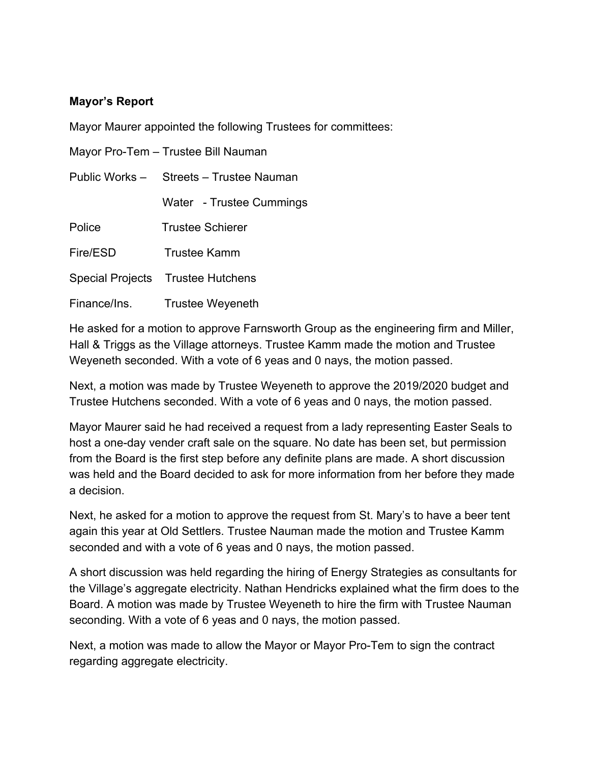## **Mayor's Report**

Mayor Maurer appointed the following Trustees for committees:

|              | Mayor Pro-Tem - Trustee Bill Nauman     |
|--------------|-----------------------------------------|
|              | Public Works - Streets - Trustee Nauman |
|              | Water - Trustee Cummings                |
| Police       | <b>Trustee Schierer</b>                 |
| Fire/ESD     | Trustee Kamm                            |
|              | Special Projects Trustee Hutchens       |
| Finance/Ins. | <b>Trustee Weyeneth</b>                 |

He asked for a motion to approve Farnsworth Group as the engineering firm and Miller, Hall & Triggs as the Village attorneys. Trustee Kamm made the motion and Trustee Weyeneth seconded. With a vote of 6 yeas and 0 nays, the motion passed.

Next, a motion was made by Trustee Weyeneth to approve the 2019/2020 budget and Trustee Hutchens seconded. With a vote of 6 yeas and 0 nays, the motion passed.

Mayor Maurer said he had received a request from a lady representing Easter Seals to host a one-day vender craft sale on the square. No date has been set, but permission from the Board is the first step before any definite plans are made. A short discussion was held and the Board decided to ask for more information from her before they made a decision.

Next, he asked for a motion to approve the request from St. Mary's to have a beer tent again this year at Old Settlers. Trustee Nauman made the motion and Trustee Kamm seconded and with a vote of 6 yeas and 0 nays, the motion passed.

A short discussion was held regarding the hiring of Energy Strategies as consultants for the Village's aggregate electricity. Nathan Hendricks explained what the firm does to the Board. A motion was made by Trustee Weyeneth to hire the firm with Trustee Nauman seconding. With a vote of 6 yeas and 0 nays, the motion passed.

Next, a motion was made to allow the Mayor or Mayor Pro-Tem to sign the contract regarding aggregate electricity.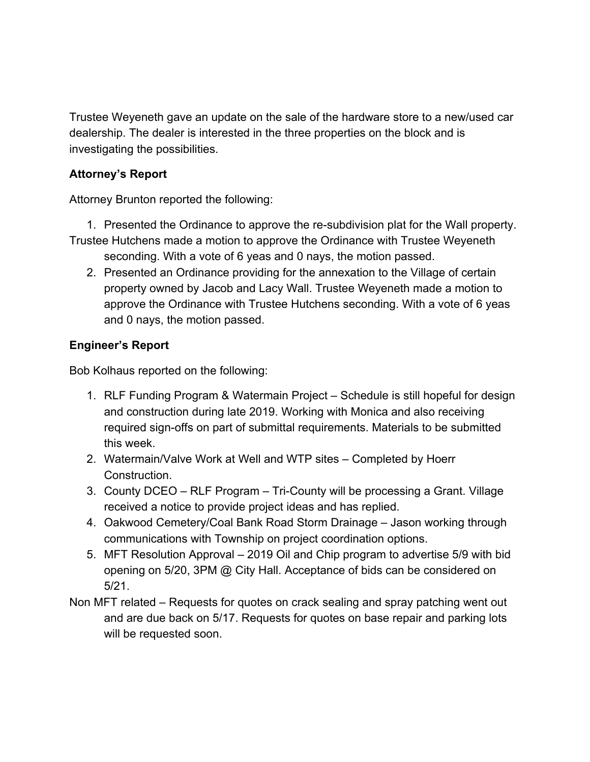Trustee Weyeneth gave an update on the sale of the hardware store to a new/used car dealership. The dealer is interested in the three properties on the block and is investigating the possibilities.

# **Attorney's Report**

Attorney Brunton reported the following:

- 1. Presented the Ordinance to approve the re-subdivision plat for the Wall property. Trustee Hutchens made a motion to approve the Ordinance with Trustee Weyeneth
	- seconding. With a vote of 6 yeas and 0 nays, the motion passed. 2. Presented an Ordinance providing for the annexation to the Village of certain
		- property owned by Jacob and Lacy Wall. Trustee Weyeneth made a motion to approve the Ordinance with Trustee Hutchens seconding. With a vote of 6 yeas and 0 nays, the motion passed.

# **Engineer's Report**

Bob Kolhaus reported on the following:

- 1. RLF Funding Program & Watermain Project Schedule is still hopeful for design and construction during late 2019. Working with Monica and also receiving required sign-offs on part of submittal requirements. Materials to be submitted this week.
- 2. Watermain/Valve Work at Well and WTP sites Completed by Hoerr Construction.
- 3. County DCEO RLF Program Tri-County will be processing a Grant. Village received a notice to provide project ideas and has replied.
- 4. Oakwood Cemetery/Coal Bank Road Storm Drainage Jason working through communications with Township on project coordination options.
- 5. MFT Resolution Approval 2019 Oil and Chip program to advertise 5/9 with bid opening on 5/20, 3PM @ City Hall. Acceptance of bids can be considered on 5/21.
- Non MFT related Requests for quotes on crack sealing and spray patching went out and are due back on 5/17. Requests for quotes on base repair and parking lots will be requested soon.